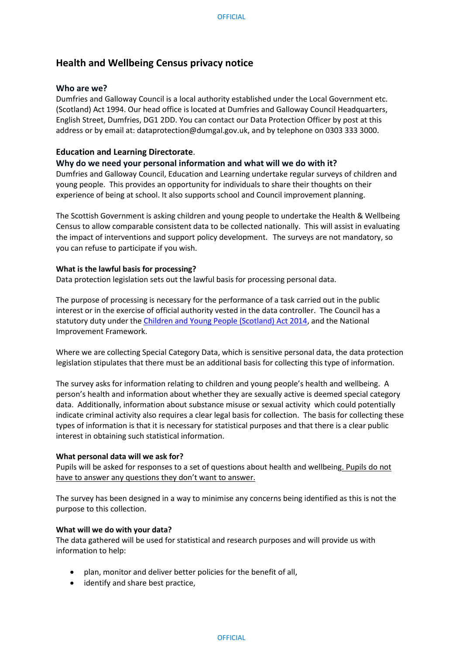# **Health and Wellbeing Census privacy notice**

# **Who are we?**

Dumfries and Galloway Council is a local authority established under the Local Government etc. (Scotland) Act 1994. Our head office is located at Dumfries and Galloway Council Headquarters, English Street, Dumfries, DG1 2DD. You can contact our Data Protection Officer by post at this address or by email at: dataprotection@dumgal.gov.uk, and by telephone on 0303 333 3000.

# **Education and Learning Directorate**.

# **Why do we need your personal information and what will we do with it?**

Dumfries and Galloway Council, Education and Learning undertake regular surveys of children and young people. This provides an opportunity for individuals to share their thoughts on their experience of being at school. It also supports school and Council improvement planning.

The Scottish Government is asking children and young people to undertake the Health & Wellbeing Census to allow comparable consistent data to be collected nationally. This will assist in evaluating the impact of interventions and support policy development. The surveys are not mandatory, so you can refuse to participate if you wish.

# **What is the lawful basis for processing?**

Data protection legislation sets out the lawful basis for processing personal data.

The purpose of processing is necessary for the performance of a task carried out in the public interest or in the exercise of official authority vested in the data controller. The Council has a statutory duty under the [Children and Young People \(Scotland\) Act 2014,](https://www.legislation.gov.uk/asp/2014/8/contents/enacted) and the National Improvement Framework.

Where we are collecting Special Category Data, which is sensitive personal data, the data protection legislation stipulates that there must be an additional basis for collecting this type of information.

The survey asks for information relating to children and young people's health and wellbeing. A person's health and information about whether they are sexually active is deemed special category data. Additionally, information about substance misuse or sexual activity which could potentially indicate criminal activity also requires a clear legal basis for collection. The basis for collecting these types of information is that it is necessary for statistical purposes and that there is a clear public interest in obtaining such statistical information.

#### **What personal data will we ask for?**

Pupils will be asked for responses to a set of questions about health and wellbeing. Pupils do not have to answer any questions they don't want to answer.

The survey has been designed in a way to minimise any concerns being identified as this is not the purpose to this collection.

# **What will we do with your data?**

The data gathered will be used for statistical and research purposes and will provide us with information to help:

- plan, monitor and deliver better policies for the benefit of all,
- identify and share best practice,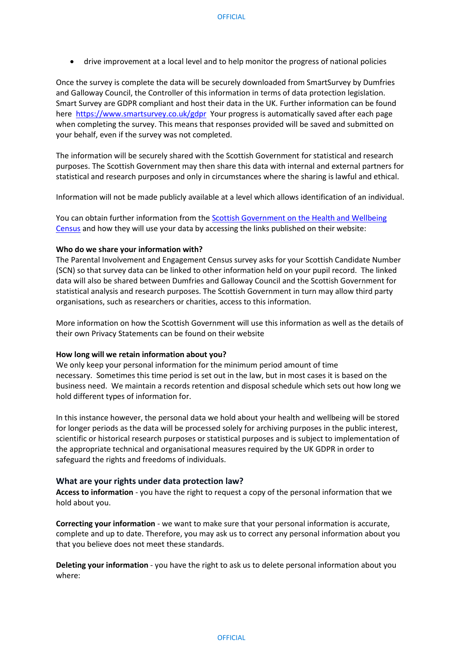• drive improvement at a local level and to help monitor the progress of national policies

Once the survey is complete the data will be securely downloaded from SmartSurvey by Dumfries and Galloway Council, the Controller of this information in terms of data protection legislation. Smart Survey are GDPR compliant and host their data in the UK. Further information can be found here <https://www.smartsurvey.co.uk/gdpr>Your progress is automatically saved after each page when completing the survey. This means that responses provided will be saved and submitted on your behalf, even if the survey was not completed.

The information will be securely shared with the Scottish Government for statistical and research purposes. The Scottish Government may then share this data with internal and external partners for statistical and research purposes and only in circumstances where the sharing is lawful and ethical.

Information will not be made publicly available at a level which allows identification of an individual.

You can obtain further information from th[e Scottish Government on the Health and Wellbeing](https://www.gov.scot/publications/health-and-wellbeing-census-2/)  [Census](https://www.gov.scot/publications/health-and-wellbeing-census-2/) and how they will use your data by accessing the links published on their website:

#### **Who do we share your information with?**

The Parental Involvement and Engagement Census survey asks for your Scottish Candidate Number (SCN) so that survey data can be linked to other information held on your pupil record. The linked data will also be shared between Dumfries and Galloway Council and the Scottish Government for statistical analysis and research purposes. The Scottish Government in turn may allow third party organisations, such as researchers or charities, access to this information.

More information on how the Scottish Government will use this information as well as the details of their own Privacy Statements can be found on their website

#### **How long will we retain information about you?**

We only keep your personal information for the minimum period amount of time necessary. Sometimes this time period is set out in the law, but in most cases it is based on the business need. We maintain a records retention and disposal schedule which sets out how long we hold different types of information for.

In this instance however, the personal data we hold about your health and wellbeing will be stored for longer periods as the data will be processed solely for archiving purposes in the public interest, scientific or historical research purposes or statistical purposes and is subject to implementation of the appropriate technical and organisational measures required by the UK GDPR in order to safeguard the rights and freedoms of individuals.

#### **What are your rights under data protection law?**

**Access to information** - you have the right to request a copy of the personal information that we hold about you.

**Correcting your information** - we want to make sure that your personal information is accurate, complete and up to date. Therefore, you may ask us to correct any personal information about you that you believe does not meet these standards.

**Deleting your information** - you have the right to ask us to delete personal information about you where: